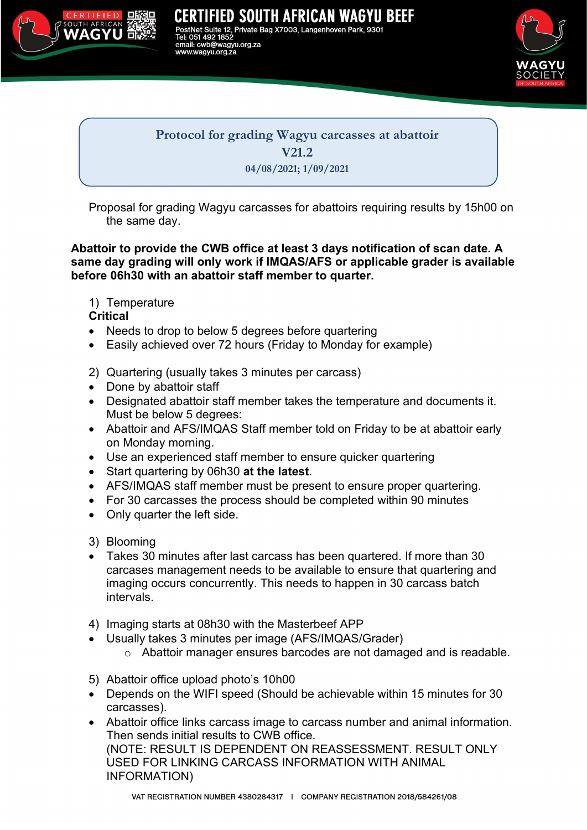

TIFIED SOUTH AFRICAN WAGYU BEEF Suite 12, Private Bag X7003, Langenhoven Park, 9301  $1852$ cwb@wagyu.org.za w.wagvu.org.za



Protocol for grading Wagyu carcasses at abattoir V21.2 04/08/2021; 1/09/2021

Proposal for grading Wagyu carcasses for abattoirs requiring results by 15h00 on the same day.

Abattoir to provide the CWB office at least 3 days notification of scan date. A same day grading will only work if IMQAS/AFS or applicable grader is available before 06h30 with an abattoir staff member to quarter.

1) Temperature

**Critical** 

- Needs to drop to below 5 degrees before quartering
- Easily achieved over 72 hours (Friday to Monday for example)
- 2) Quartering (usually takes 3 minutes per carcass)
- Done by abattoir staff
- Designated abattoir staff member takes the temperature and documents it. Must be below 5 degrees:
- Abattoir and AFS/IMQAS Staff member told on Friday to be at abattoir early on Monday morning.
- Use an experienced staff member to ensure quicker quartering
- Start quartering by 06h30 at the latest.
- AFS/IMQAS staff member must be present to ensure proper quartering.
- For 30 carcasses the process should be completed within 90 minutes
- Only quarter the left side.

3) Blooming

- Takes 30 minutes after last carcass has been quartered. If more than 30 carcases management needs to be available to ensure that quartering and imaging occurs concurrently. This needs to happen in 30 carcass batch intervals.
- 4) Imaging starts at 08h30 with the Masterbeef APP
	- Usually takes 3 minutes per image (AFS/IMQAS/Grader)
		- o Abattoir manager ensures barcodes are not damaged and is readable.
- 5) Abattoir office upload photo's 10h00
- Depends on the WIFI speed (Should be achievable within 15 minutes for 30 carcasses).
- Abattoir office links carcass image to carcass number and animal information. Then sends initial results to CWB office. (NOTE: RESULT IS DEPENDENT ON REASSESSMENT. RESULT ONLY USED FOR LINKING CARCASS INFORMATION WITH ANIMAL INFORMATION)